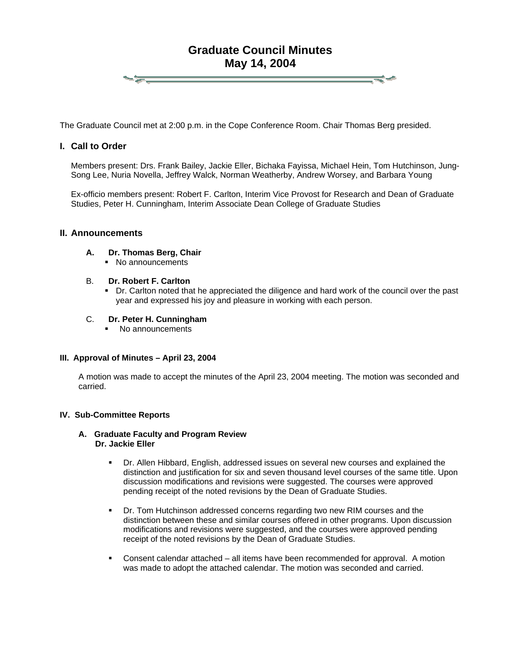# **Graduate Council Minutes May 14, 2004**

The Graduate Council met at 2:00 p.m. in the Cope Conference Room. Chair Thomas Berg presided.

# **I. Call to Order**

Members present: Drs. Frank Bailey, Jackie Eller, Bichaka Fayissa, Michael Hein, Tom Hutchinson, Jung-Song Lee, Nuria Novella, Jeffrey Walck, Norman Weatherby, Andrew Worsey, and Barbara Young

Ex-officio members present: Robert F. Carlton, Interim Vice Provost for Research and Dean of Graduate Studies, Peter H. Cunningham, Interim Associate Dean College of Graduate Studies

#### **II. Announcements**

**A. Dr. Thomas Berg, Chair** 

 $-\frac{1}{\sqrt{2}}$ 

- No announcements
- B. **Dr. Robert F. Carlton** 
	- Dr. Carlton noted that he appreciated the diligence and hard work of the council over the past year and expressed his joy and pleasure in working with each person.
- C. **Dr. Peter H. Cunningham**
	- No announcements

#### **III. Approval of Minutes – April 23, 2004**

A motion was made to accept the minutes of the April 23, 2004 meeting. The motion was seconded and carried.

#### **IV. Sub-Committee Reports**

# **A. Graduate Faculty and Program Review Dr. Jackie Eller**

- Dr. Allen Hibbard, English, addressed issues on several new courses and explained the distinction and justification for six and seven thousand level courses of the same title. Upon discussion modifications and revisions were suggested. The courses were approved pending receipt of the noted revisions by the Dean of Graduate Studies.
- Dr. Tom Hutchinson addressed concerns regarding two new RIM courses and the distinction between these and similar courses offered in other programs. Upon discussion modifications and revisions were suggested, and the courses were approved pending receipt of the noted revisions by the Dean of Graduate Studies.
- Consent calendar attached all items have been recommended for approval. A motion was made to adopt the attached calendar. The motion was seconded and carried.